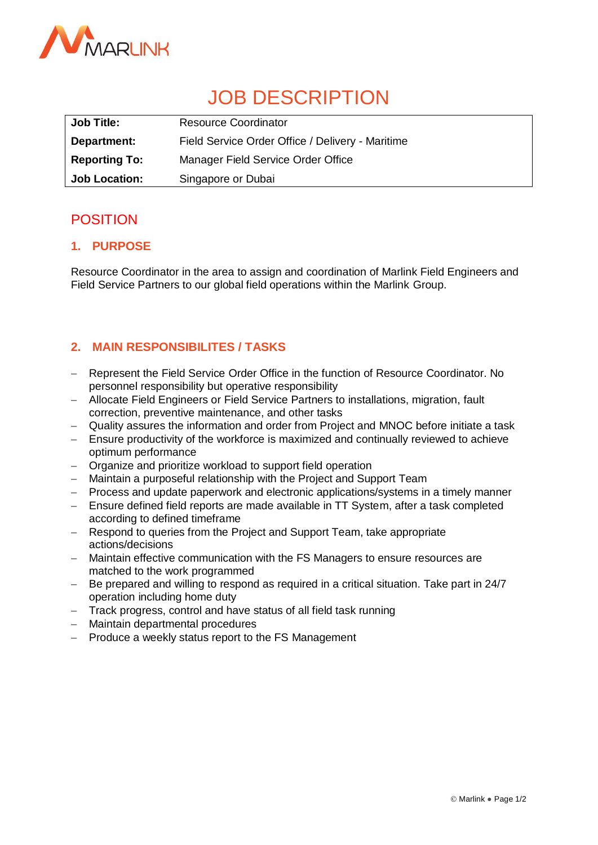

# JOB DESCRIPTION

| <b>Job Title:</b>    | <b>Resource Coordinator</b>                      |
|----------------------|--------------------------------------------------|
| Department:          | Field Service Order Office / Delivery - Maritime |
| <b>Reporting To:</b> | Manager Field Service Order Office               |
| <b>Job Location:</b> | Singapore or Dubai                               |

# POSITION

# **1. PURPOSE**

Resource Coordinator in the area to assign and coordination of Marlink Field Engineers and Field Service Partners to our global field operations within the Marlink Group.

# **2. MAIN RESPONSIBILITES / TASKS**

- Represent the Field Service Order Office in the function of Resource Coordinator. No personnel responsibility but operative responsibility
- Allocate Field Engineers or Field Service Partners to installations, migration, fault correction, preventive maintenance, and other tasks
- Quality assures the information and order from Project and MNOC before initiate a task
- Ensure productivity of the workforce is maximized and continually reviewed to achieve optimum performance
- Organize and prioritize workload to support field operation
- Maintain a purposeful relationship with the Project and Support Team
- Process and update paperwork and electronic applications/systems in a timely manner
- Ensure defined field reports are made available in TT System, after a task completed according to defined timeframe
- Respond to queries from the Project and Support Team, take appropriate actions/decisions
- Maintain effective communication with the FS Managers to ensure resources are matched to the work programmed
- Be prepared and willing to respond as required in a critical situation. Take part in 24/7 operation including home duty
- Track progress, control and have status of all field task running
- Maintain departmental procedures
- Produce a weekly status report to the FS Management